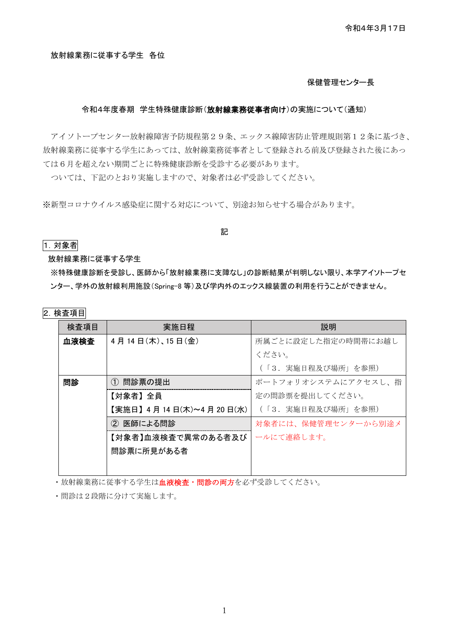令和4年3月17日

#### 放射線業務に従事する学生 各位

#### 保健管理センター長

#### 令和4年度春期 学生特殊健康診断(放射線業務従事者向け)の実施について(通知)

アイソトープセンター放射線障害予防規程第29条、エックス線障害防止管理規則第12条に基づき、 放射線業務に従事する学生にあっては、放射線業務従事者として登録される前及び登録された後にあっ ては6月を超えない期間ごとに特殊健康診断を受診する必要があります。

ついては、下記のとおり実施しますので、対象者は必ず受診してください。

※新型コロナウイルス感染症に関する対応について、別途お知らせする場合があります。

#### 1.対象者

放射線業務に従事する学生

※特殊健康診断を受診し、医師から「放射線業務に支障なし」の診断結果が判明しない限り、本学アイソトープセ ンター、学外の放射線利用施設(Spring-8 等)及び学内外のエックス線装置の利用を行うことができません。

記

#### 2.検査項目

| 検査項目 | 実施日程                   | 説明                  |
|------|------------------------|---------------------|
| 血液検査 | 4月14日(木)、15日(金)        | 所属ごとに設定した指定の時間帯にお越し |
|      |                        | ください。               |
|      |                        | (「3.実施日程及び場所」を参照)   |
| 問診   | ① 問診票の提出               | ポートフォリオシステムにアクセスし、指 |
|      | 【対象者】全員                | 定の間診票を提出してください。     |
|      | 【実施日】4月14日(木)~4月20日(水) | (「3.実施日程及び場所」を参照)   |
|      | ② 医師による問診              | 対象者には、保健管理センターから別途メ |
|      | 【対象者】血液検査で異常のある者及び     | ールにて連絡します。          |
|      | 問診票に所見がある者             |                     |
|      |                        |                     |

・放射線業務に従事する学生は血液検査・問診の両方を必ず受診してください。

・問診は2段階に分けて実施します。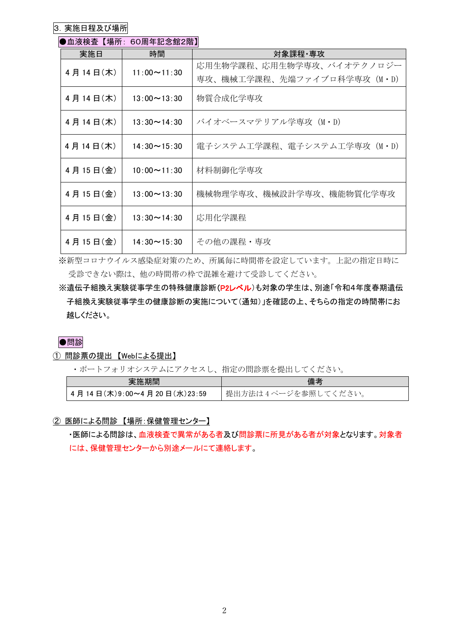3. 実施日程及び場所

### ●血液検査 【場所: 60周年記念館2階】

| 実施日                            | 時間                 | 対象課程・専攻                     |
|--------------------------------|--------------------|-----------------------------|
| $11:00 \sim 11:30$<br>4月14日(木) |                    | 応用生物学課程、応用生物学専攻、バイオテクノロジー   |
|                                |                    | 専攻、機械工学課程、先端ファイブロ科学専攻(M・D)  |
| 4月14日(木)                       | $13:00 \sim 13:30$ | 物質合成化学専攻                    |
|                                |                    |                             |
| 4月14日(木)                       | $13:30 \sim 14:30$ | バイオベースマテリアル学専攻(M・D)         |
| 4月14日(木)                       | $14:30 \sim 15:30$ | 電子システム工学課程、電子システム工学専攻 (M·D) |
|                                |                    |                             |
| 4月15日(金)                       | $10:00 \sim 11:30$ | 材料制御化学専攻                    |
|                                |                    |                             |
| 4月15日(金)                       | $13:00 \sim 13:30$ | 機械物理学専攻、機械設計学専攻、機能物質化学専攻    |
| 4月15日(金)                       | $13:30 \sim 14:30$ | 応用化学課程                      |
|                                |                    |                             |
| 4月15日(金)                       | $14:30 \sim 15:30$ | その他の課程・専攻                   |

※新型コロナウイルス感染症対策のため、所属毎に時間帯を設定しています。上記の指定日時に 受診できない際は、他の時間帯の枠で混雑を避けて受診してください。

※遺伝子組換え実験従事学生の特殊健康診断(P2レベル)も対象の学生は、別途「令和4年度春期遺伝 子組換え実験従事学生の健康診断の実施について(通知)」を確認の上、そちらの指定の時間帯にお 越しください。

●問診

① 問診票の提出 【Webによる提出】

・ポートフォリオシステムにアクセスし、指定の問診票を提出してください。

| 実施期間                              | 備考                  |
|-----------------------------------|---------------------|
| '4 月 14 日(木)9:00~4 月 20 日(水)23:59 | 提出方法は4ページを参照してください。 |

② 医師による問診 【場所:保健管理センター】

・医師による問診は、血液検査で異常がある者及び問診票に所見がある者が対象となります。対象者 には、保健管理センターから別途メールにて連絡します。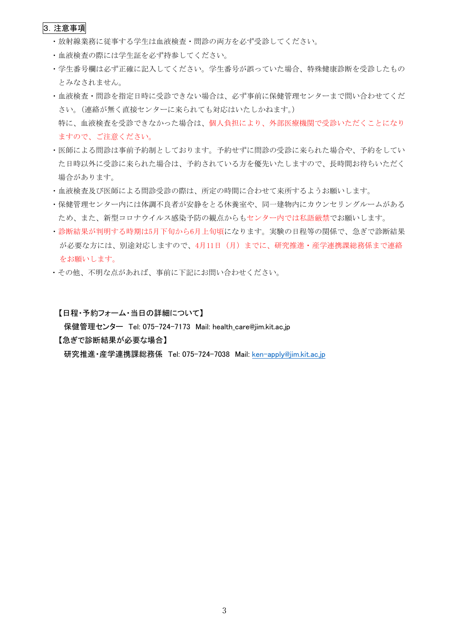#### 3.注意事項

- ・放射線業務に従事する学生は血液検査・問診の両方を必ず受診してください。
- ・血液検査の際には学生証を必ず持参してください。
- ・学生番号欄は必ず正確に記入してください。学生番号が誤っていた場合、特殊健康診断を受診したもの とみなされません。
- ・血液検査・問診を指定日時に受診できない場合は、必ず事前に保健管理センターまで問い合わせてくだ さい。(連絡が無く直接センターに来られても対応はいたしかねます。) 特に、血液検査を受診できなかった場合は、個人負担により、外部医療機関で受診いただくことになり ますので、ご注意ください。
- ・医師による問診は事前予約制としております。予約せずに問診の受診に来られた場合や、予約をしてい た日時以外に受診に来られた場合は、予約されている方を優先いたしますので、長時間お待ちいただく 場合があります。
- ・血液検査及び医師による問診受診の際は、所定の時間に合わせて来所するようお願いします。
- ・保健管理センター内には体調不良者が安静をとる休養室や、同一建物内にカウンセリングルームがある ため、また、新型コロナウイルス感染予防の観点からもセンター内では私語厳禁でお願いします。
- ・診断結果が判明する時期は5月下旬から6月上旬頃になります。実験の日程等の関係で、急ぎで診断結果 が必要な方には、別途対応しますので、4月11日(月)までに、研究推進・産学連携課総務係まで連絡 をお願いします。
- ・その他、不明な点があれば、事前に下記にお問い合わせください。

【日程・予約フォーム・当日の詳細について】

保健管理センター Tel: 075-724-7173 Mail: health care@jim.kit.ac.jp

【急ぎで診断結果が必要な場合】

研究推進・産学連携課総務係 Tel: 075-724-7038 Mail: ken-apply@jim.kit.ac.jp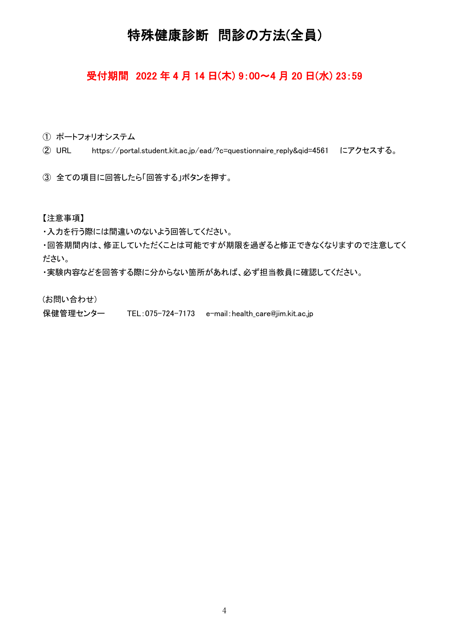# 特殊健康診断 問診の方法(全員)

## 受付期間 2022 年 4 月 14 日(木) 9:00~4 月 20 日(水) 23:59

① ポートフォリオシステム

② URL https://portal.student.kit.ac.jp/ead/?c=questionnaire\_reply&qid=4561 にアクセスする。

③ 全ての項目に回答したら「回答する」ボタンを押す。

【注意事項】

・入力を行う際には間違いのないよう回答してください。

・回答期間内は、修正していただくことは可能ですが期限を過ぎると修正できなくなりますので注意してく ださい。

・実験内容などを回答する際に分からない箇所があれば、必ず担当教員に確認してください。

(お問い合わせ)

保健管理センター TEL:075-724-7173 e-mail:health care@jim.kit.ac.jp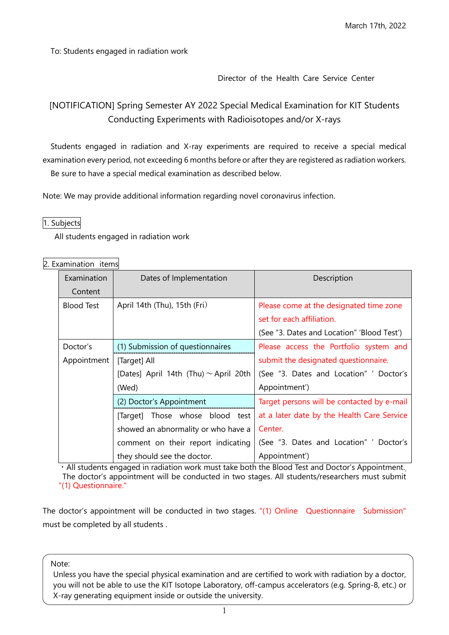To: Students engaged in radiation work

## Director of the Health Care Service Center

## [NOTIFICATION] Spring Semester AY 2022 Special Medical Examination for KIT Students Conducting Experiments with Radioisotopes and/or X-rays

Students engaged in radiation and X-ray experiments are required to receive a special medical examination every period, not exceeding 6 months before or after they are registered as radiation workers. Be sure to have a special medical examination as described below.

Note: We may provide additional information regarding novel coronavirus infection.

### 1. Subjects

All students engaged in radiation work

| 2. Examination items |  |
|----------------------|--|
|----------------------|--|

| Examination       | Dates of Implementation                    | Description                                |
|-------------------|--------------------------------------------|--------------------------------------------|
| Content           |                                            |                                            |
| <b>Blood Test</b> | April 14th (Thu), 15th (Fri)               | Please come at the designated time zone    |
|                   |                                            | set for each affiliation.                  |
|                   |                                            | (See "3. Dates and Location" 'Blood Test') |
| Doctor's          | (1) Submission of questionnaires           | Please access the Portfolio system and     |
| Appointment       | [Target] All                               | submit the designated questionnaire.       |
|                   | [Dates] April 14th (Thu) $\sim$ April 20th | (See "3. Dates and Location" ' Doctor's    |
|                   | (Wed)                                      | Appointment')                              |
|                   | (2) Doctor's Appointment                   | Target persons will be contacted by e-mail |
|                   | [Target] Those whose blood test            | at a later date by the Health Care Service |
|                   | showed an abnormality or who have a        | Center.                                    |
|                   | comment on their report indicating         | (See "3. Dates and Location" ' Doctor's    |
|                   | they should see the doctor.                | Appointment')                              |

・All students engaged in radiation work must take both the Blood Test and Doctor's Appointment. The doctor's appointment will be conducted in two stages. All students/researchers must submit "(1) Questionnaire."

The doctor's appointment will be conducted in two stages. "(1) Online Questionnaire Submission" must be completed by all students .

Note:

Unless you have the special physical examination and are certified to work with radiation by a doctor, you will not be able to use the KIT Isotope Laboratory, off-campus accelerators (e.g. Spring-8, etc.) or X-ray generating equipment inside or outside the university.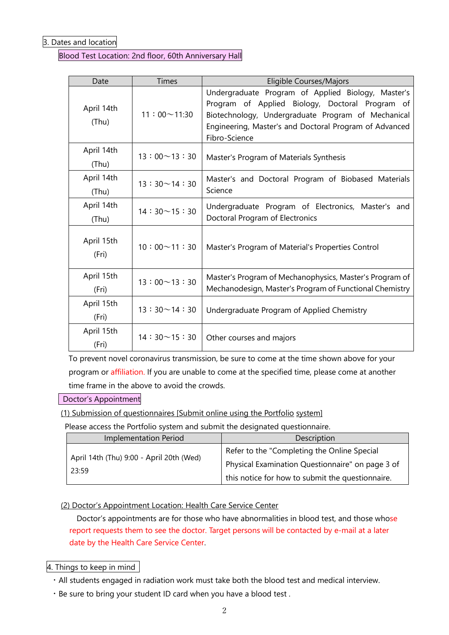3. Dates and location

Blood Test Location: 2nd floor, 60th Anniversary Hall

| Date                | <b>Times</b>       | Eligible Courses/Majors                                                                                                                                                                                                                |
|---------------------|--------------------|----------------------------------------------------------------------------------------------------------------------------------------------------------------------------------------------------------------------------------------|
| April 14th<br>(Thu) | $11:00 \sim 11:30$ | Undergraduate Program of Applied Biology, Master's<br>Program of Applied Biology, Doctoral Program of<br>Biotechnology, Undergraduate Program of Mechanical<br>Engineering, Master's and Doctoral Program of Advanced<br>Fibro-Science |
| April 14th<br>(Thu) | $13:00 \sim 13:30$ | Master's Program of Materials Synthesis                                                                                                                                                                                                |
| April 14th<br>(Thu) | $13:30 \sim 14:30$ | Master's and Doctoral Program of Biobased Materials<br>Science                                                                                                                                                                         |
| April 14th<br>(Thu) | $14:30 \sim 15:30$ | Undergraduate Program of Electronics, Master's and<br>Doctoral Program of Electronics                                                                                                                                                  |
| April 15th<br>(Fri) | $10:00 \sim 11:30$ | Master's Program of Material's Properties Control                                                                                                                                                                                      |
| April 15th<br>(Fri) | $13:00 \sim 13:30$ | Master's Program of Mechanophysics, Master's Program of<br>Mechanodesign, Master's Program of Functional Chemistry                                                                                                                     |
| April 15th<br>(Fri) | $13:30 \sim 14:30$ | Undergraduate Program of Applied Chemistry                                                                                                                                                                                             |
| April 15th<br>(Fri) | $14:30 \sim 15:30$ | Other courses and majors                                                                                                                                                                                                               |

To prevent novel coronavirus transmission, be sure to come at the time shown above for your program or affiliation. If you are unable to come at the specified time, please come at another time frame in the above to avoid the crowds.

Doctor's Appointment

(1) Submission of questionnaires [Submit online using the Portfolio system]

Please access the Portfolio system and submit the designated questionnaire.

| <b>Implementation Period</b>             | Description                                      |
|------------------------------------------|--------------------------------------------------|
| April 14th (Thu) 9:00 - April 20th (Wed) | Refer to the "Completing the Online Special      |
| 23:59                                    | Physical Examination Questionnaire" on page 3 of |
|                                          | this notice for how to submit the questionnaire. |

## (2) Doctor's Appointment Location: Health Care Service Center

Doctor's appointments are for those who have abnormalities in blood test, and those whose report requests them to see the doctor. Target persons will be contacted by e-mail at a later date by the Health Care Service Center.

## 4. Things to keep in mind

- ・All students engaged in radiation work must take both the blood test and medical interview.
- ・Be sure to bring your student ID card when you have a blood test .